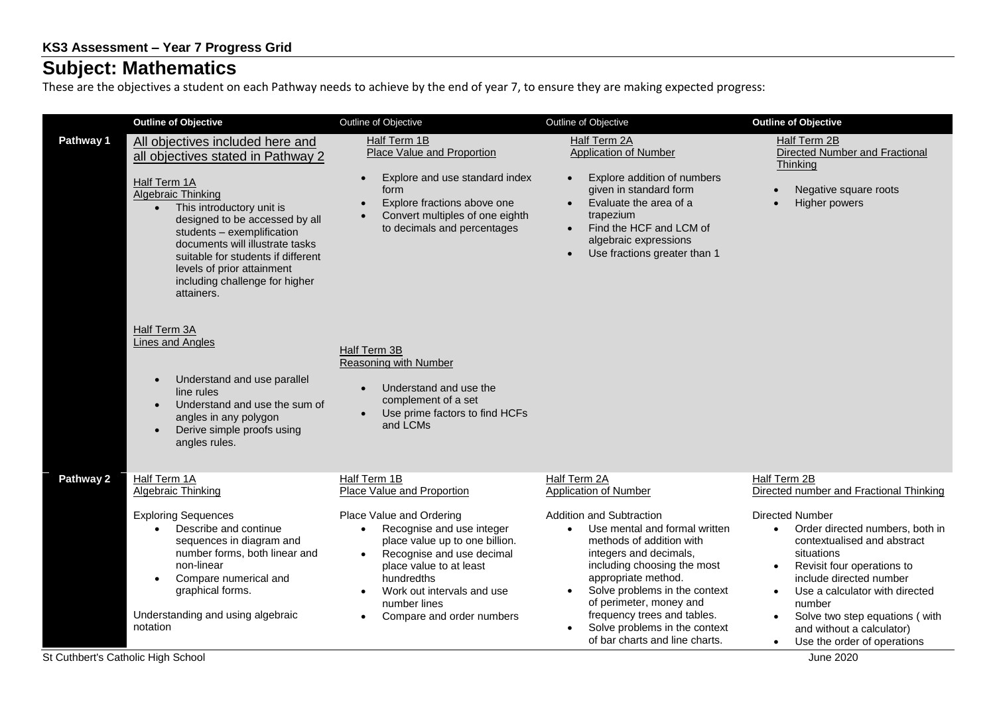## **Subject: Mathematics**

These are the objectives a student on each Pathway needs to achieve by the end of year 7, to ensure they are making expected progress:

| Half Term 1B<br>Half Term 2A<br>Half Term 2B<br>Pathway 1<br>All objectives included here and<br>Place Value and Proportion<br><b>Application of Number</b><br>all objectives stated in Pathway 2<br>Thinking<br>Explore and use standard index<br>Explore addition of numbers<br>$\bullet$<br>Half Term 1A<br>form<br>given in standard form<br>Negative square roots<br>Algebraic Thinking<br>Explore fractions above one<br>Evaluate the area of a<br>Higher powers<br>$\bullet$<br>This introductory unit is<br>$\bullet$<br>Convert multiples of one eighth<br>trapezium<br>designed to be accessed by all<br>Find the HCF and LCM of<br>to decimals and percentages<br>students - exemplification<br>algebraic expressions<br>documents will illustrate tasks<br>Use fractions greater than 1<br>suitable for students if different<br>levels of prior attainment<br>including challenge for higher<br>attainers.                                                                                                                                                                                                             | <b>Outline of Objective</b> | Outline of Objective | Outline of Objective | <b>Outline of Objective</b>                                                                                                                                                                                                                                         |
|-------------------------------------------------------------------------------------------------------------------------------------------------------------------------------------------------------------------------------------------------------------------------------------------------------------------------------------------------------------------------------------------------------------------------------------------------------------------------------------------------------------------------------------------------------------------------------------------------------------------------------------------------------------------------------------------------------------------------------------------------------------------------------------------------------------------------------------------------------------------------------------------------------------------------------------------------------------------------------------------------------------------------------------------------------------------------------------------------------------------------------------|-----------------------------|----------------------|----------------------|---------------------------------------------------------------------------------------------------------------------------------------------------------------------------------------------------------------------------------------------------------------------|
|                                                                                                                                                                                                                                                                                                                                                                                                                                                                                                                                                                                                                                                                                                                                                                                                                                                                                                                                                                                                                                                                                                                                     |                             |                      |                      | Directed Number and Fractional                                                                                                                                                                                                                                      |
| <b>Half Term 3A</b><br>Lines and Angles<br>Half Term 3B<br>Reasoning with Number<br>Understand and use parallel<br>Understand and use the<br>line rules<br>complement of a set<br>Understand and use the sum of<br>Use prime factors to find HCFs<br>angles in any polygon<br>and LCMs<br>Derive simple proofs using<br>angles rules.                                                                                                                                                                                                                                                                                                                                                                                                                                                                                                                                                                                                                                                                                                                                                                                               |                             |                      |                      |                                                                                                                                                                                                                                                                     |
| Pathway 2<br>Half Term 1A<br>Half Term 1B<br>Half Term 2A<br>Half Term 2B<br><b>Algebraic Thinking</b><br><b>Place Value and Proportion</b><br>Application of Number<br><b>Addition and Subtraction</b><br><b>Exploring Sequences</b><br>Place Value and Ordering<br><b>Directed Number</b><br>Describe and continue<br>Recognise and use integer<br>Use mental and formal written<br>$\bullet$<br>$\bullet$<br>$\bullet$<br>sequences in diagram and<br>place value up to one billion.<br>methods of addition with<br>number forms, both linear and<br>Recognise and use decimal<br>integers and decimals,<br>situations<br>$\bullet$<br>non-linear<br>including choosing the most<br>place value to at least<br>$\bullet$<br>appropriate method.<br>Compare numerical and<br>hundredths<br>$\bullet$<br>Solve problems in the context<br>graphical forms.<br>Work out intervals and use<br>$\bullet$<br>of perimeter, money and<br>number<br>number lines<br>frequency trees and tables.<br>Understanding and using algebraic<br>Compare and order numbers<br>$\bullet$<br>$\bullet$<br>Solve problems in the context<br>notation |                             |                      |                      | Directed number and Fractional Thinking<br>Order directed numbers, both in<br>contextualised and abstract<br>Revisit four operations to<br>include directed number<br>Use a calculator with directed<br>Solve two step equations (with<br>and without a calculator) |

St Cuthbert's Catholic High School June 2020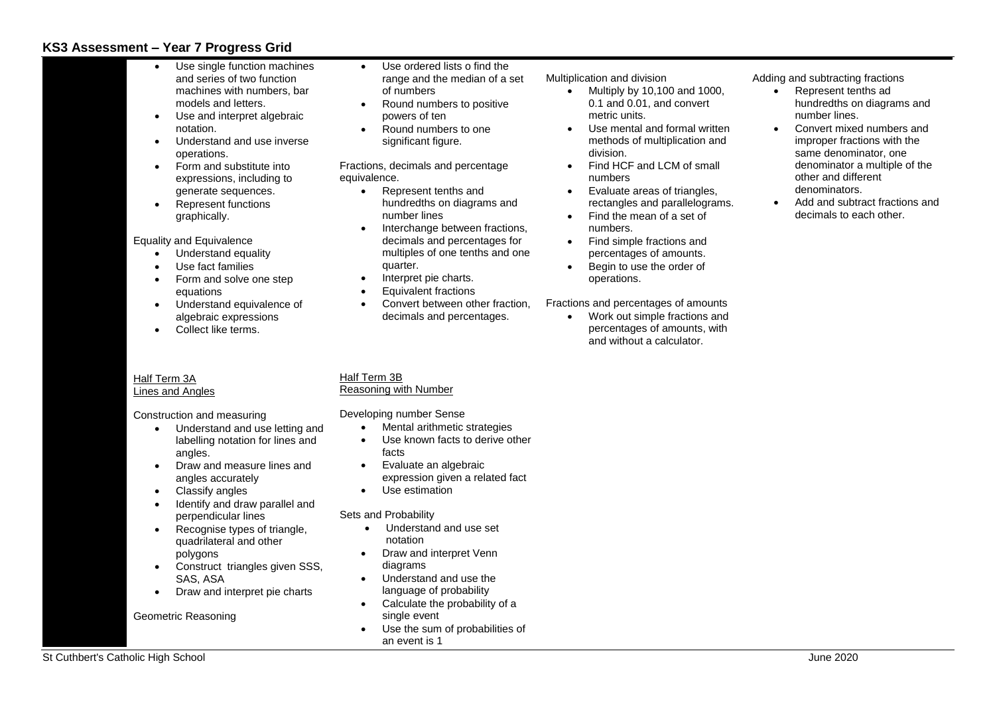### **KS3 Assessment – Year 7 Progress Grid**

- change between fractions, mals and percentages for iples of one tenths and one ter.
- pret pie charts.
- valent fractions
- vert between other fraction. mals and percentages.

Multiplication and division

- Multiply by  $10,100$  and  $1000$ , 0.1 and 0.01, and convert metric units.
- Use mental and formal written methods of multiplication and division.
- Find HCF and LCM of small numbers
- Evaluate areas of triangles, rectangles and parallelograms.
- Find the mean of a set of numbers.
- Find simple fractions and percentages of amounts.
- Begin to use the order of operations.

Fractions and percentages of amounts

• Work out simple fractions and percentages of amounts, with and without a calculator.

Adding and subtracting fractions

- Represent tenths ad hundredths on diagrams and number lines.
- Convert mixed numbers and improper fractions with the same denominator, one denominator a multiple of the other and different denominators.
- Add and subtract fractions and decimals to each other.

St Cuthbert's Catholic High School June 2020

# th Number

- tal arithmetic strategies
- known facts to derive other
- uate an algebraic ession given a related fact
- estimation

#### bability

- derstand and use set ation
- and interpret Venn rams
- erstand and use the uage of probability
- ulate the probability of a le event
- the sum of probabilities of vent is 1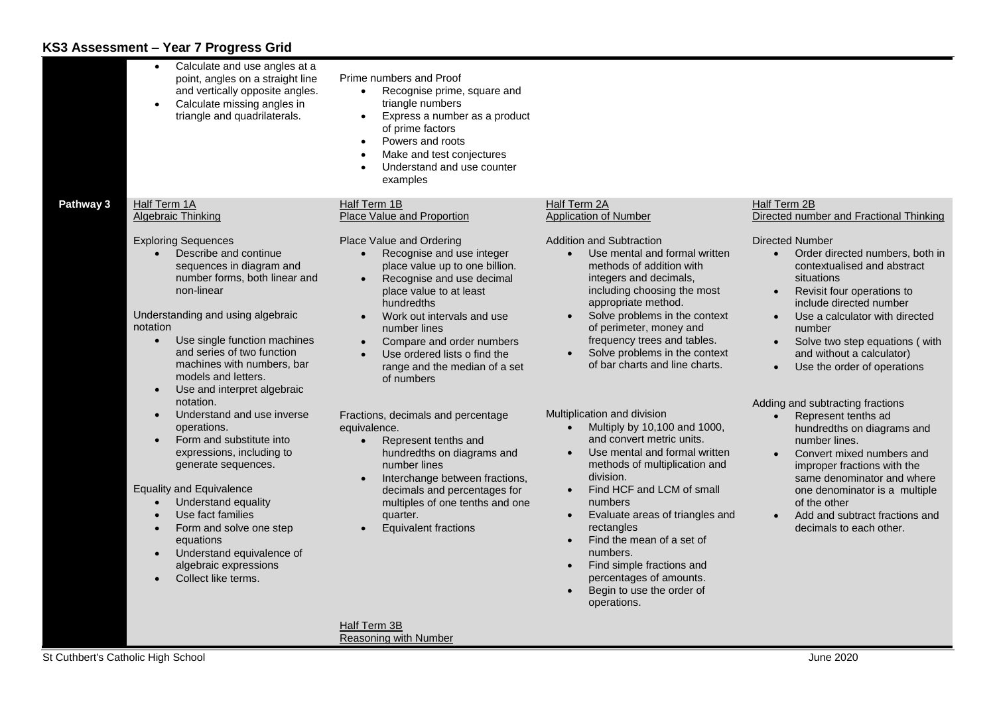## **KS3 Assessment – Year 7 Progress Grid**

|           | Calculate and use angles at a<br>$\bullet$<br>point, angles on a straight line<br>and vertically opposite angles.<br>Calculate missing angles in<br>$\bullet$<br>triangle and quadrilaterals.                              | Prime numbers and Proof<br>Recognise prime, square and<br>triangle numbers<br>Express a number as a product<br>$\bullet$<br>of prime factors<br>Powers and roots<br>$\bullet$<br>Make and test conjectures<br>$\bullet$<br>Understand and use counter<br>examples |                                                                                                                                                                                                                 |                                                                                                                                                                                                                                                                |
|-----------|----------------------------------------------------------------------------------------------------------------------------------------------------------------------------------------------------------------------------|-------------------------------------------------------------------------------------------------------------------------------------------------------------------------------------------------------------------------------------------------------------------|-----------------------------------------------------------------------------------------------------------------------------------------------------------------------------------------------------------------|----------------------------------------------------------------------------------------------------------------------------------------------------------------------------------------------------------------------------------------------------------------|
| Pathway 3 | Half Term 1A<br>Algebraic Thinking<br><b>Exploring Sequences</b>                                                                                                                                                           | Half Term 1B<br>Place Value and Proportion<br>Place Value and Ordering                                                                                                                                                                                            | Half Term 2A<br><b>Application of Number</b><br><b>Addition and Subtraction</b>                                                                                                                                 | Half Term 2B<br>Directed number and Fractional Thinking<br><b>Directed Number</b>                                                                                                                                                                              |
|           | Describe and continue<br>sequences in diagram and<br>number forms, both linear and<br>non-linear                                                                                                                           | Recognise and use integer<br>place value up to one billion.<br>Recognise and use decimal<br>place value to at least<br>hundredths                                                                                                                                 | Use mental and formal written<br>methods of addition with<br>integers and decimals,<br>including choosing the most<br>appropriate method.                                                                       | Order directed numbers, both in<br>contextualised and abstract<br>situations<br>Revisit four operations to<br>$\bullet$<br>include directed number                                                                                                             |
|           | Understanding and using algebraic<br>notation<br>Use single function machines<br>$\bullet$<br>and series of two function<br>machines with numbers, bar<br>models and letters.<br>Use and interpret algebraic<br>$\bullet$  | Work out intervals and use<br>$\bullet$<br>number lines<br>Compare and order numbers<br>$\bullet$<br>Use ordered lists o find the<br>$\bullet$<br>range and the median of a set<br>of numbers                                                                     | Solve problems in the context<br>of perimeter, money and<br>frequency trees and tables.<br>Solve problems in the context<br>of bar charts and line charts.                                                      | Use a calculator with directed<br>$\bullet$<br>number<br>Solve two step equations (with<br>and without a calculator)<br>Use the order of operations                                                                                                            |
|           | notation.<br>Understand and use inverse<br>$\bullet$<br>operations.<br>Form and substitute into<br>$\bullet$<br>expressions, including to<br>generate sequences.<br><b>Equality and Equivalence</b><br>Understand equality | Fractions, decimals and percentage<br>equivalence.<br>Represent tenths and<br>$\bullet$<br>hundredths on diagrams and<br>number lines<br>Interchange between fractions,<br>$\bullet$<br>decimals and percentages for<br>multiples of one tenths and one           | Multiplication and division<br>Multiply by 10,100 and 1000,<br>and convert metric units.<br>Use mental and formal written<br>methods of multiplication and<br>division.<br>Find HCF and LCM of small<br>numbers | Adding and subtracting fractions<br>Represent tenths ad<br>$\bullet$<br>hundredths on diagrams and<br>number lines.<br>Convert mixed numbers and<br>improper fractions with the<br>same denominator and where<br>one denominator is a multiple<br>of the other |
|           | Use fact families<br>Form and solve one step<br>equations<br>Understand equivalence of<br>$\bullet$<br>algebraic expressions<br>Collect like terms.                                                                        | quarter.<br><b>Equivalent fractions</b>                                                                                                                                                                                                                           | Evaluate areas of triangles and<br>rectangles<br>Find the mean of a set of<br>numbers.<br>Find simple fractions and<br>percentages of amounts.<br>Begin to use the order of<br>operations.                      | Add and subtract fractions and<br>$\bullet$<br>decimals to each other.                                                                                                                                                                                         |
|           |                                                                                                                                                                                                                            | Half Term 3B<br><b>Reasoning with Number</b>                                                                                                                                                                                                                      |                                                                                                                                                                                                                 |                                                                                                                                                                                                                                                                |